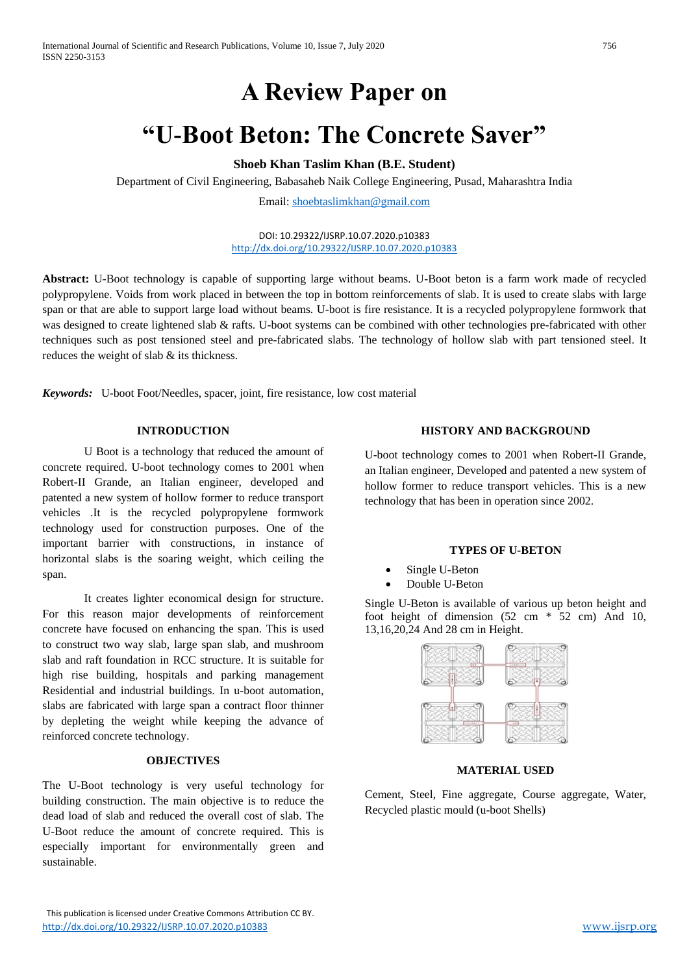# **A Review Paper on**

# **"U-Boot Beton: The Concrete Saver"**

**Shoeb Khan Taslim Khan (B.E. Student)**

Department of Civil Engineering, Babasaheb Naik College Engineering, Pusad, Maharashtra India

Email: [shoebtaslimkhan@gmail.com](mailto:shoebtaslimkhan@gmail.com)

DOI: 10.29322/IJSRP.10.07.2020.p10383 <http://dx.doi.org/10.29322/IJSRP.10.07.2020.p10383>

**Abstract:** U-Boot technology is capable of supporting large without beams. U-Boot beton is a farm work made of recycled polypropylene. Voids from work placed in between the top in bottom reinforcements of slab. It is used to create slabs with large span or that are able to support large load without beams. U-boot is fire resistance. It is a recycled polypropylene formwork that was designed to create lightened slab & rafts. U-boot systems can be combined with other technologies pre-fabricated with other techniques such as post tensioned steel and pre-fabricated slabs. The technology of hollow slab with part tensioned steel. It reduces the weight of slab & its thickness.

*Keywords:*U-boot Foot/Needles, spacer, joint, fire resistance, low cost material

#### **INTRODUCTION**

U Boot is a technology that reduced the amount of concrete required. U-boot technology comes to 2001 when Robert-II Grande, an Italian engineer, developed and patented a new system of hollow former to reduce transport vehicles .It is the recycled polypropylene formwork technology used for construction purposes. One of the important barrier with constructions, in instance of horizontal slabs is the soaring weight, which ceiling the span.

It creates lighter economical design for structure. For this reason major developments of reinforcement concrete have focused on enhancing the span. This is used to construct two way slab, large span slab, and mushroom slab and raft foundation in RCC structure. It is suitable for high rise building, hospitals and parking management Residential and industrial buildings. In u-boot automation, slabs are fabricated with large span a contract floor thinner by depleting the weight while keeping the advance of reinforced concrete technology.

#### **OBJECTIVES**

The U-Boot technology is very useful technology for building construction. The main objective is to reduce the dead load of slab and reduced the overall cost of slab. The U-Boot reduce the amount of concrete required. This is especially important for environmentally green and sustainable.

#### **HISTORY AND BACKGROUND**

U-boot technology comes to 2001 when Robert-II Grande, an Italian engineer, Developed and patented a new system of hollow former to reduce transport vehicles. This is a new technology that has been in operation since 2002.

### **TYPES OF U-BETON**

- Single U-Beton
- Double U-Beton

Single U-Beton is available of various up beton height and foot height of dimension  $(52 \text{ cm} * 52 \text{ cm})$  And 10, 13,16,20,24 And 28 cm in Height.



#### **MATERIAL USED**

Cement, Steel, Fine aggregate, Course aggregate, Water, Recycled plastic mould (u-boot Shells)